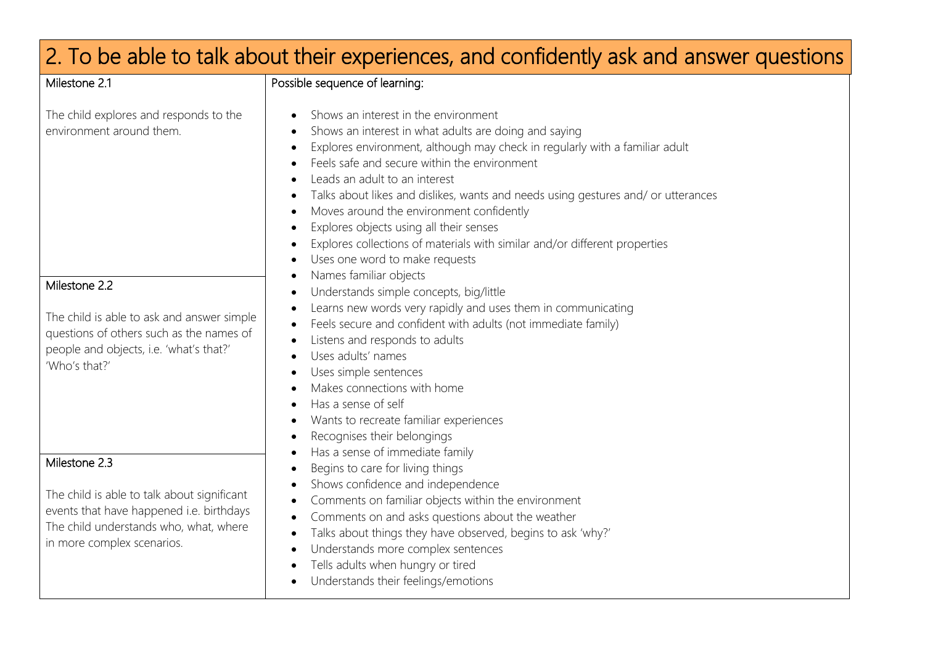| 2. To be able to talk about their experiences, and confidently ask and answer questions                                                                                          |                                                                                                                                                                                                                                                                                                                                                                                                                                                                                                                                                                                                                                                                                                                                                                                                                            |  |
|----------------------------------------------------------------------------------------------------------------------------------------------------------------------------------|----------------------------------------------------------------------------------------------------------------------------------------------------------------------------------------------------------------------------------------------------------------------------------------------------------------------------------------------------------------------------------------------------------------------------------------------------------------------------------------------------------------------------------------------------------------------------------------------------------------------------------------------------------------------------------------------------------------------------------------------------------------------------------------------------------------------------|--|
| Milestone 2.1                                                                                                                                                                    | Possible sequence of learning:                                                                                                                                                                                                                                                                                                                                                                                                                                                                                                                                                                                                                                                                                                                                                                                             |  |
| The child explores and responds to the<br>environment around them.                                                                                                               | Shows an interest in the environment<br>Shows an interest in what adults are doing and saying<br>Explores environment, although may check in regularly with a familiar adult<br>Feels safe and secure within the environment<br>Leads an adult to an interest<br>Talks about likes and dislikes, wants and needs using gestures and/ or utterances<br>Moves around the environment confidently<br>Explores objects using all their senses<br>Explores collections of materials with similar and/or different properties<br>Uses one word to make requests<br>Names familiar objects                                                                                                                                                                                                                                        |  |
| Milestone 2.2<br>The child is able to ask and answer simple<br>questions of others such as the names of<br>people and objects, i.e. 'what's that?'<br>'Who's that?'              | Understands simple concepts, big/little<br>Learns new words very rapidly and uses them in communicating<br>Feels secure and confident with adults (not immediate family)<br>Listens and responds to adults<br>Uses adults' names<br>Uses simple sentences<br>Makes connections with home<br>Has a sense of self<br>Wants to recreate familiar experiences<br>Recognises their belongings<br>Has a sense of immediate family<br>Begins to care for living things<br>Shows confidence and independence<br>Comments on familiar objects within the environment<br>Comments on and asks questions about the weather<br>$\bullet$<br>Talks about things they have observed, begins to ask 'why?'<br>Understands more complex sentences<br>Tells adults when hungry or tired<br>Understands their feelings/emotions<br>$\bullet$ |  |
| Milestone 2.3<br>The child is able to talk about significant<br>events that have happened i.e. birthdays<br>The child understands who, what, where<br>in more complex scenarios. |                                                                                                                                                                                                                                                                                                                                                                                                                                                                                                                                                                                                                                                                                                                                                                                                                            |  |